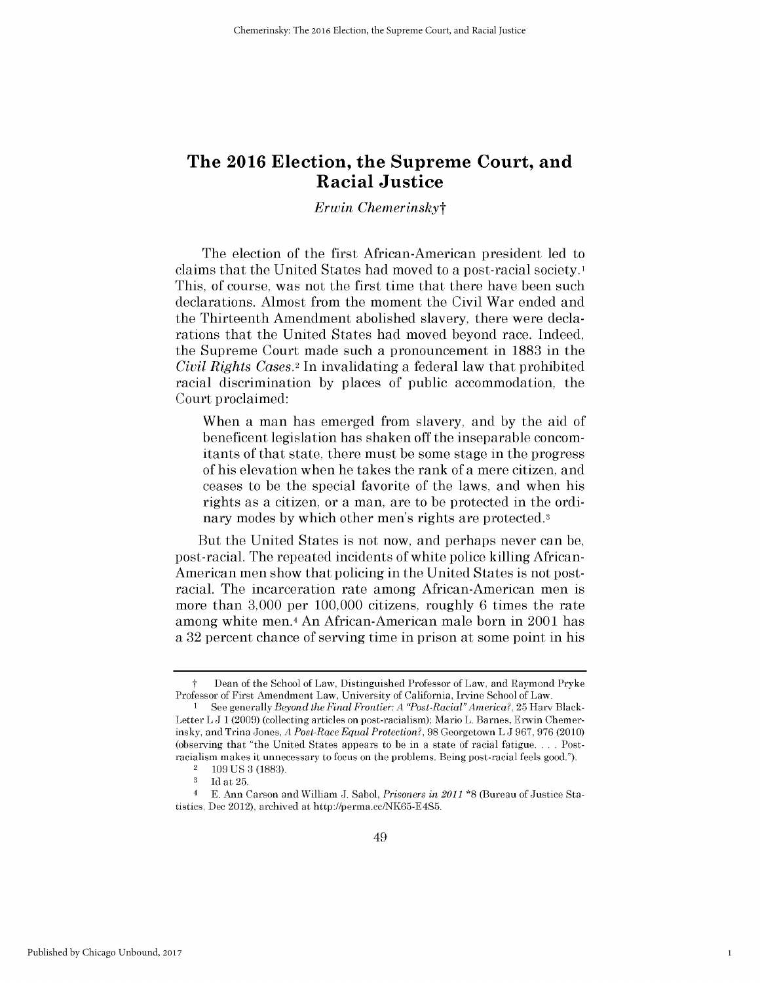### *Erwin Chemerinskyt*

The election of the first African-American president led to claims that the United States had moved to a post-racial society.i This, of course, was not the first time that there have been such declarations. Almost from the moment the **Civil** War ended and the Thirteenth Amendment abolished slavery, there were declarations that the United States had moved beyond race. Indeed, the Supreme Court made such a pronouncement in **1883** in the *Civil Rights Cases.2* In invalidating a federal law that prohibited racial discrimination **by** places of public accommodation, the Court proclaimed:

When a man has emerged from slavery, and **by** the aid of beneficent legislation has shaken off the inseparable concomitants of that state, there must be some stage in the progress of his elevation when he takes the rank of a mere citizen, and ceases to be the special favorite of the laws, and when his rights as a citizen, or a man, are to be protected in the ordinary modes **by** which other men's rights are protected.3

But the United States is not now, and perhaps never can be, post-racial. The repeated incidents of white police killing African-American men show that policing in the United States is not postracial. The incarceration rate among African-American men **is** more than **3,000** per **100,000** citizens, roughly **6** times the rate among white men.<sup>4</sup>An African-American male born in 2001 has a **32** percent chance of serving time in prison at some point in his

1

t Dean of the School of Law, Distinguished Professor of Law, and Raymond Pryke Professor of First Amendment Law, University of California, Irvine School of Law.

**I See** generally *Beyond the Final Frontier: A "Post-Racial" America?,* **25** Harv Black-Letter L **J 1(2009)** (collecting articles on post-racialism); Mario L. Barnes, Erwin Chemerinsky, and Trina Jones, *A Post-Race Equal Protection?,* **98** Georgetown L **J 967, 976** (2010) (observing that "the United States appears to **be** in a state of racial fatigue.... Postracialism makes **it** unnecessary to focus on the problems. Being post-racial feels good.").

<sup>2</sup>**109 US 3 (1883).**

 $\frac{3}{4}$  Id at 25.

<sup>4</sup> **E.** Ann Carson and William **J.** Sabol, *Prisoners in 2011* **\*8** (Bureau of Justice Statistics, **Dec** 2012), archived at http://perma.cc/NK65-E4S5.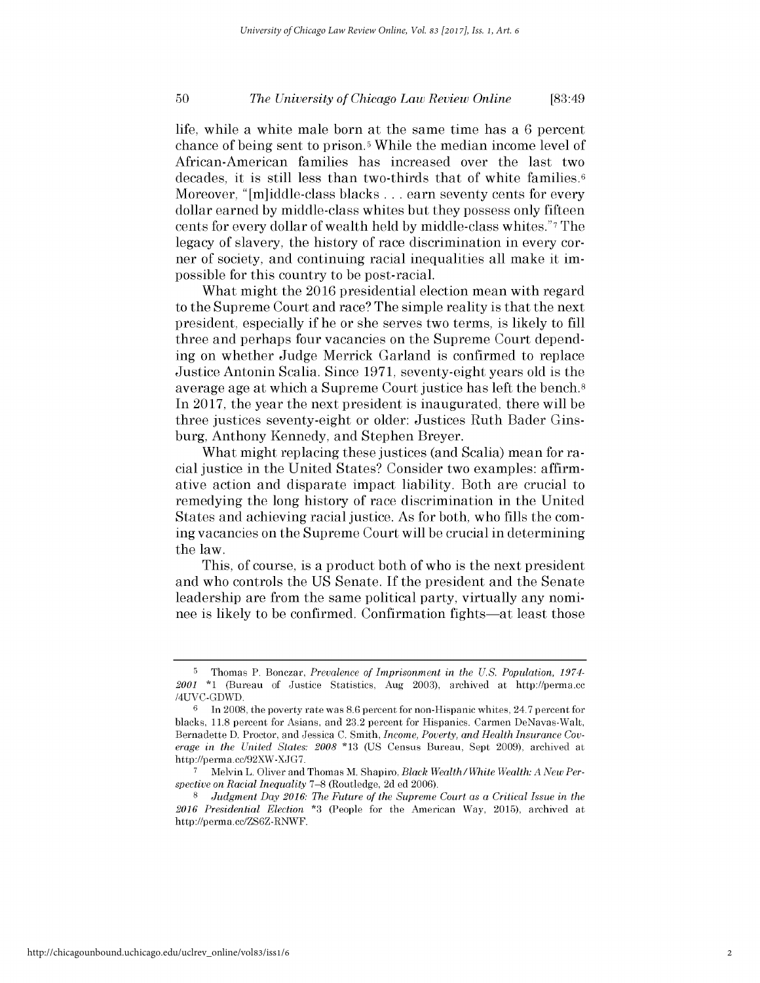## *The University of Chicago Law Review Online* **50 [83:49**

life, while a white male born at the same time has a **6** percent chance of being sent to prison.5 While the median income level of African-American families has increased over the last two decades, it is still less than two-thirds that of white families.6 Moreover, "[m]iddle-class blacks **...** earn seventy cents for every dollar earned **by** middle-class whites but they possess only fifteen cents for every dollar of wealth held **by** middle-class whites."7 The legacy of slavery, the history of race discrimination in every corner of society, and continuing racial inequalities all make it **im**possible for this country to be post-racial.

What might the **2016** presidential election mean with regard to the Supreme Court and race? The simple reality is that the next president, especially **if** he or she serves two terms, is likely to **fill** three and perhaps four vacancies on the Supreme Court depending on whether Judge Merrick Garland is confirmed to replace Justice Antonin Scalia. Since **1971,** seventy-eight years old is the average age at which a Supreme Court justice has left the bench.8 In **2017,** the year the next president is inaugurated, there will be three justices seventy-eight or older: Justices Ruth Bader Ginsburg, Anthony Kennedy, and Stephen Breyer.

What might replacing these justices (and Scalia) mean for racial justice in the United States? Consider two examples: affirmative action and disparate impact liability. Both are crucial to remedying the long history of race discrimination in the United States and achieving racial justice. As for both, who fills the coming vacancies on the Supreme Court will be crucial in determining the law.

This, of course, is a product both of who is the next president and who controls the **US** Senate. **If** the president and the Senate leadership are from the same political party, virtually any nominee is likely to be confirmed. Confirmation fights—at least those

**<sup>5</sup>** Thomas P. Bonczar, *Prevalence of Imprisonment in the U.S. Population,* 1974- *2001* **\*1** (Bureau of Justice Statistics, Aug **2003),** archived at http://perma.cc /4UVC-GDWD.

**<sup>6</sup>** In **2008,** the poverty rate was **8.6** percent for non-Hispanic whites, 24.7 percent for blacks, **11.8** percent for Asians, and **23.2** percent for Hispanics. Carmen DeNavas-Walt, Bernadette **D.** Proctor, and Jessica **C.** Smith, *Income, Poverty, and Health Insurance Coverage in the United States: 2008* **\*13 (US** Census Bureau, Sept **2009),** archived at http://perma.ce/92XW-XJG7.

**<sup>7</sup>** Melvin L. Oliver and Thomas M. Shapiro, *Black Wealth/White Wealth: A New Perspective on Racial Inequality* **7-8** (Routledge, **2d ed** 2006).

**<sup>8</sup>** *Judgment Day 2016: The Future of the Supreme Court as a Critical Issue in the 2016 Presidential Election* **\*3** (People for the American Way, **2015),** archived at http://perma.cc/ZS6Z-RNWF.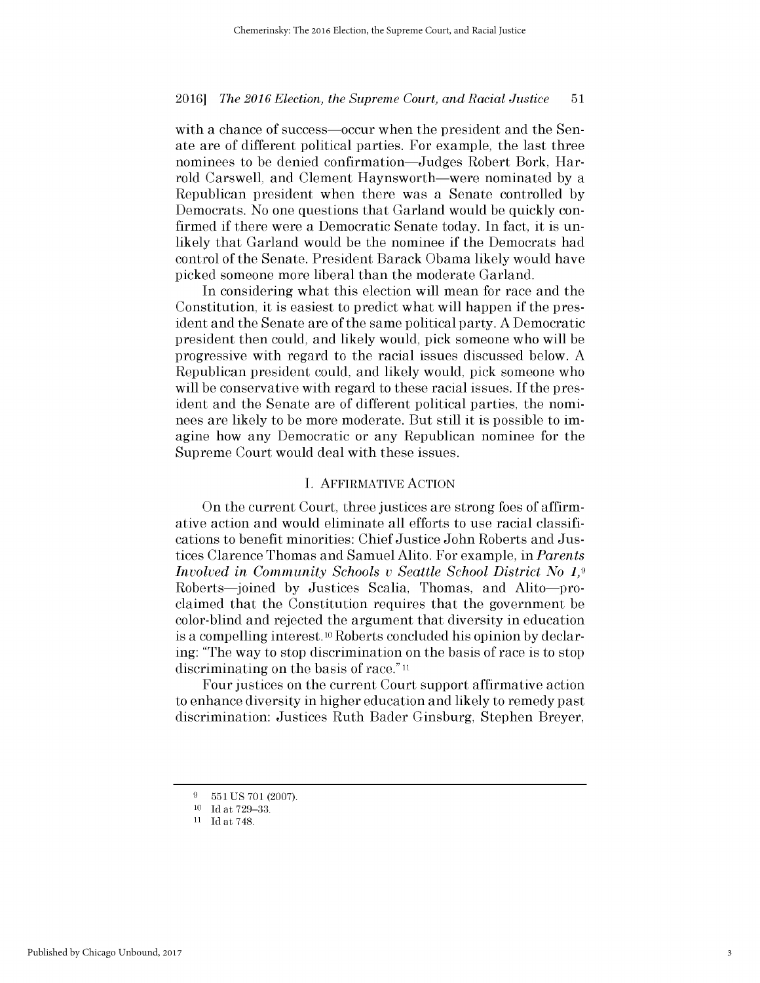with a chance of success—occur when the president and the Senate are of different political parties. For example, the last three nominees to be denied confirmation—Judges Robert Bork, Harrold Carswell, and Clement Haynsworth-were nominated **by** a Republican president when there was a Senate controlled **by** Democrats. No one questions that Garland would be quickly confirmed **if** there were a Democratic Senate today. In fact, it is unlikely that Garland would be the nominee **if** the Democrats had control of the Senate. President Barack Obama likely would have picked someone more liberal than the moderate Garland.

In considering what this election will mean for race and the Constitution, it is easiest to predict what will happen **if** the president and the Senate are of the same political party. **A** Democratic president then could, and likely would, pick someone who will be progressive with regard to the racial issues discussed below. **A** Republican president could, and likely would, pick someone who will be conservative with regard to these racial issues. **If** the president and the Senate are of different political parties, the nominees are likely to be more moderate. But still it is possible to **im**agine how any Democratic or any Republican nominee for the Supreme Court would deal with these issues.

#### **I.** AFFIRMATIVE **ACTION**

On the current Court, three justices are strong foes of affirmative action and would eliminate all efforts to use racial classifications to benefit minorities: Chief Justice John Roberts and Justices Clarence Thomas and Samuel Alito. For example, in *Parents Involved in Community Schools v Seattle School District No 1,9* Roberts-joined **by** Justices Scalia, Thomas, and Alito-proclaimed that the Constitution requires that the government be color-blind and rejected the argument that diversity in education is a compelling interest. **10** Roberts concluded his opinion **by** declaring: "The way to stop discrimination on the basis of race is to stop discriminating on the basis of race."11

Four justices on the current Court support affirmative action to enhance diversity in higher education and likely to remedy past discrimination: Justices Ruth Bader Ginsburg, Stephen Breyer,

**<sup>9 551</sup> US 701 (2007).**

**<sup>10</sup> Id** at **729-33.**

**<sup>11</sup> Id** at **748.**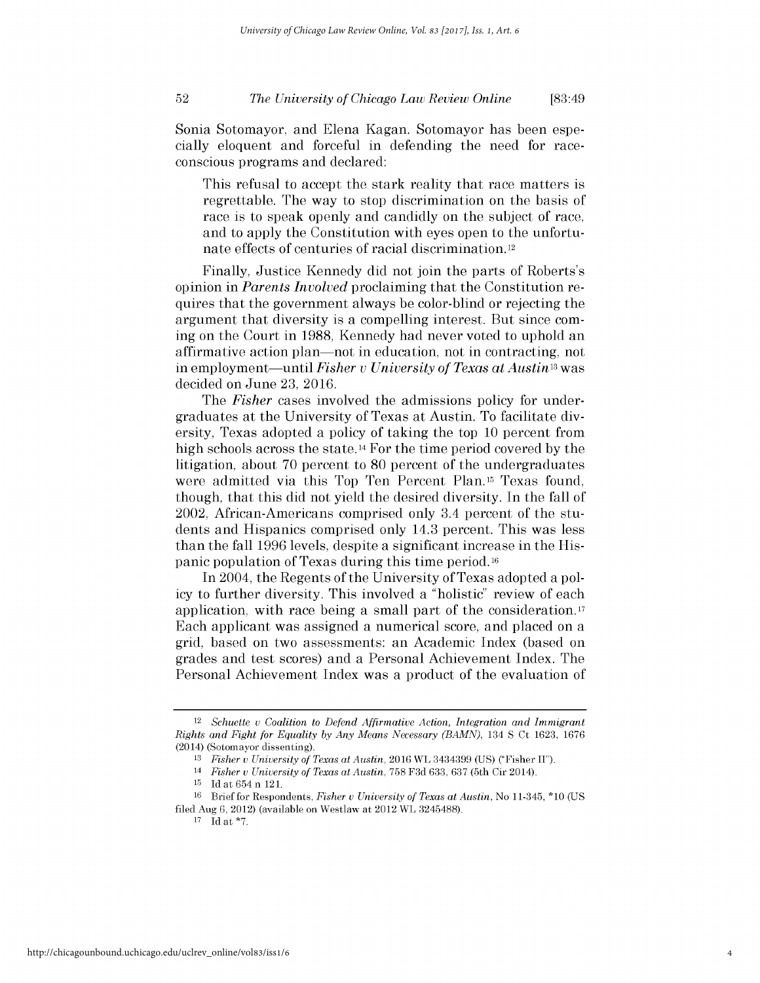## *The University of Chicago Law Review Online* **52 [83:49**

Sonia Sotomayor, and Elena Kagan. Sotomayor has been especially eloquent and forceful in defending the need for raceconscious programs and declared:

This refusal to accept the stark reality that race matters **is** regrettable. The way to stop discrimination on the basis of race is to speak openly and candidly on the subject of race, and to apply the Constitution with eyes open to the unfortunate effects of centuries of racial discrimination. <sup>12</sup>

Finally, Justice Kennedy **did** not join the parts of Roberts's opinion in *Parents Involved* proclaiming that the Constitution requires that the government always be color-blind or rejecting the argument that diversity is a compelling interest. But since coming on the Court in **1988,** Kennedy had never voted to uphold an affirmative action plan-not in education, not in contracting, not in employment-until *Fisher v University of Texas at Austin3* was decided on June **23, 2016.**

*The Fisher* cases involved the admissions policy for undergraduates at the University of Texas at Austin. To facilitate **div**ersity, Texas adopted a policy of taking the top **10** percent from **high** schools across the state. <sup>14</sup>For the time period covered **by** the litigation, about **70** percent to **80** percent of the undergraduates were admitted via this Top Ten Percent Plan. **15** Texas found, though, that this **did** not yield the desired diversity. In the fall of 2002, African-Americans comprised only 3.4 percent of the students and Hispanics comprised only 14.3 percent. This was less than the fall **1996** levels, despite a significant increase in the Hispanic population of Texas during this time period. **<sup>16</sup>**

In 2004, the Regents of the University of Texas adopted a policy to further diversity. This involved a "holistic" review of each application, with race being a small part of the consideration.17 Each applicant was assigned a numerical score, and placed on a grid, based on two assessments: an Academic Index (based on grades and test scores) and a Personal Achievement Index. The Personal Achievement Index was a product of the evaluation of

**<sup>17</sup>Id** at **\*7.**

*<sup>12</sup>Schuette v Coalition to Defend Affirmative Action, Integration and Immigrant Rights and Fight for Equality by Any Means Necessary (BAMN),* 134 **S** Ct **1623, 1676** (2014) (Sotomayor dissenting).

*<sup>13</sup>Fisher v University of Texas at Austin, 2016* WL 3434399 **(US)** ("Fisher **II").**

*<sup>14</sup>Fisher v University of Texas at Austin,* **758 F3d 633, 637** (5th Cir 2014).

**<sup>15</sup>Id** at 654 n **121.**

**<sup>16</sup>**Brief for Respondents, *Fisher v University of Texas at Austin,* No 11-345, **\*10 (US filed** Aug **6,** 2012) (available on Westlaw at 2012 WL 3245488).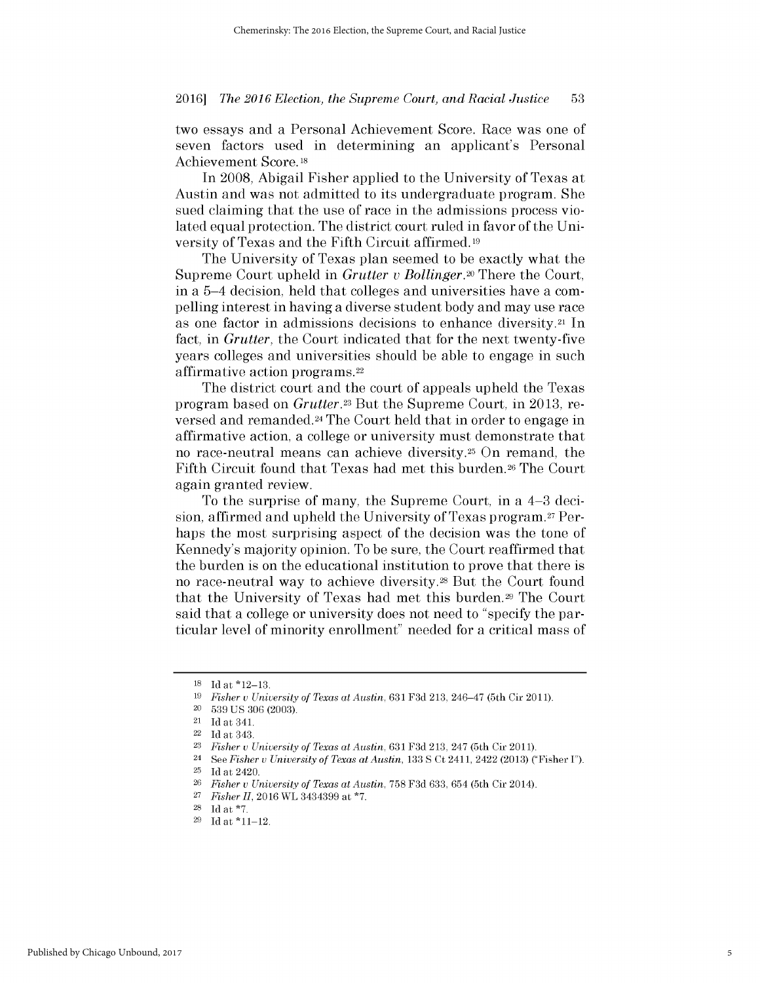two essays and a Personal Achievement Score. Race was one of seven factors used in determining an applicant's Personal Achievement Score. **<sup>18</sup>**

In **2008,** Abigail Fisher applied to the University of Texas at Austin and was not admitted to its undergraduate program. She sued claiming that the use of race in the admissions process violated equal protection. The district court ruled in favor of the University of Texas and the Fifth Circuit affirmed. **<sup>19</sup>**

The University of Texas plan seemed to be exactly what the Supreme Court upheld in *Grutter v Bollinger.20* There the Court, in a 5-4 decision, held that colleges and universities have a compelling interest in having a diverse student body and may use race as one factor in admissions decisions to enhance diversity.21 In fact, in *Grutter,* the Court indicated that for the next twenty-five years colleges and universities should be able to engage in such affirmative action programs. <sup>22</sup>

The district court and the court of appeals upheld the Texas program based on *Grutter.23* But the Supreme Court, in **2013,** reversed and remanded.24 The Court held that in order to engage in affirmative action, a college or university must demonstrate that no race-neutral means can achieve diversity.25 On remand, the Fifth Circuit found that Texas had met this burden.<sup>26</sup> The Court again granted review.

To the surprise of many, the Supreme Court, in a 4-3 decision, affirmed and upheld the University of Texas program. <sup>2</sup>7 Perhaps the most surprising aspect of the decision was the tone of Kennedy's majority opinion. To be sure, the Court reaffirmed that the burden is on the educational institution to prove that there **is** no race-neutral way to achieve diversity.28 But the Court found that the University of Texas had met this burden.29 The Court said that a college or university does not need to "specify the particular level of minority enrollment" needed for a critical mass of

**<sup>18</sup>Id** *at* **\*12-13.**

**<sup>19</sup>***Fisher v University of Texas at Austin,* **631 F3d 213,** 246-47 (5th Cir **2011).**

<sup>20</sup>**539 US 306 (2003).**

<sup>21</sup>**Id** *at* 341.

<sup>22</sup>**Id** *at* 343.

**<sup>23</sup>***Fisher v University of Texas at Austin,* **631 F3d 213,** 247 (5th Cir **2011).**

<sup>24</sup>*See Fisher v University of Texas at Austin,* **133 S** Ct 2411, 2422 **(2013)** ("Fisher **I"). <sup>25</sup>Id** *at* 2420.

**<sup>26</sup>***Fisher v University of Texas at Austin,* **758 F3d 633,** 654 (5th Cir 2014).

**<sup>27</sup>***Fisher II,* **2016** WL 3434399 at **\*7.**

**<sup>28</sup>Id** at **\*7.**

**<sup>29</sup>Id** at \*11-12.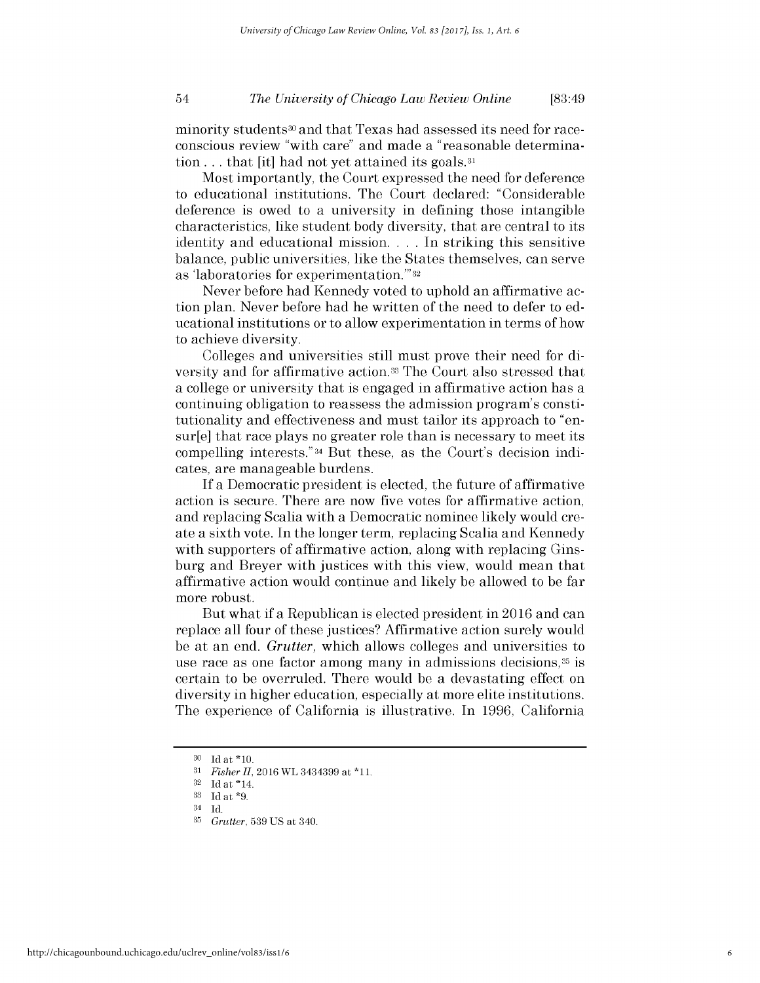## *The University of Chicago Law Review Online* 54 **[83:49**

minority students<sup>30</sup> and that Texas had assessed its need for raceconscious review "with care" and made a "reasonable determination **...** that [it] had not yet attained its goals.31

Most importantly, the Court expressed the need for deference to educational institutions. The Court declared: "Considerable deference is owed to a university in defining those intangible characteristics, like student body diversity, that are central to its identity and educational mission. **. . .** In striking this sensitive balance, public universities, like the States themselves, can serve as 'laboratories for experimentation."'32

Never before had Kennedy voted to uphold an affirmative action plan. Never before had he written of the need to defer to educational institutions or to allow experimentation in terms of how to achieve diversity.

Colleges and universities still must prove their need for **di**versity and for affirmative action.33 The Court also stressed that a college or university that is engaged in affirmative action has a continuing obligation to reassess the admission program's constitutionality and effectiveness and must tailor its approach to "ensur[e] that race plays no greater role than is necessary to meet its compelling interests."34 But these, as the Court's decision indicates, are manageable burdens.

**If** a Democratic president is elected, the future of affirmative action is secure. There are now five votes for affirmative action, and replacing Scalia with a Democratic nominee likely would create a sixth vote. In the longer term, replacing Scalia and Kennedy with supporters of affirmative action, along with replacing Ginsburg and Breyer with justices with this view, would mean that affirmative action would continue and likely be allowed to be far more robust.

But what **if** a Republican is elected president in **2016** and can replace all four of these justices? Affirmative action surely would be at an end. *Grutter,* which allows colleges and universities to use race as one factor among many in admissions decisions,35 **is** certain to be overruled. There would be a devastating effect on diversity in higher education, especially at more elite institutions. The experience of California is illustrative. In **1996,** California

**<sup>30</sup> Id** at **\*10.**

**<sup>31</sup>***Fisher II,* **2016** WL 3434399 at **\*11.**

**<sup>32</sup>Id** at \*14.

**<sup>33</sup> Id** at **\*9.**

 $\frac{34}{35}$  Id.<br> $\frac{1}{6}$ 

**<sup>35</sup>***Grutter,* **539 US** at 340.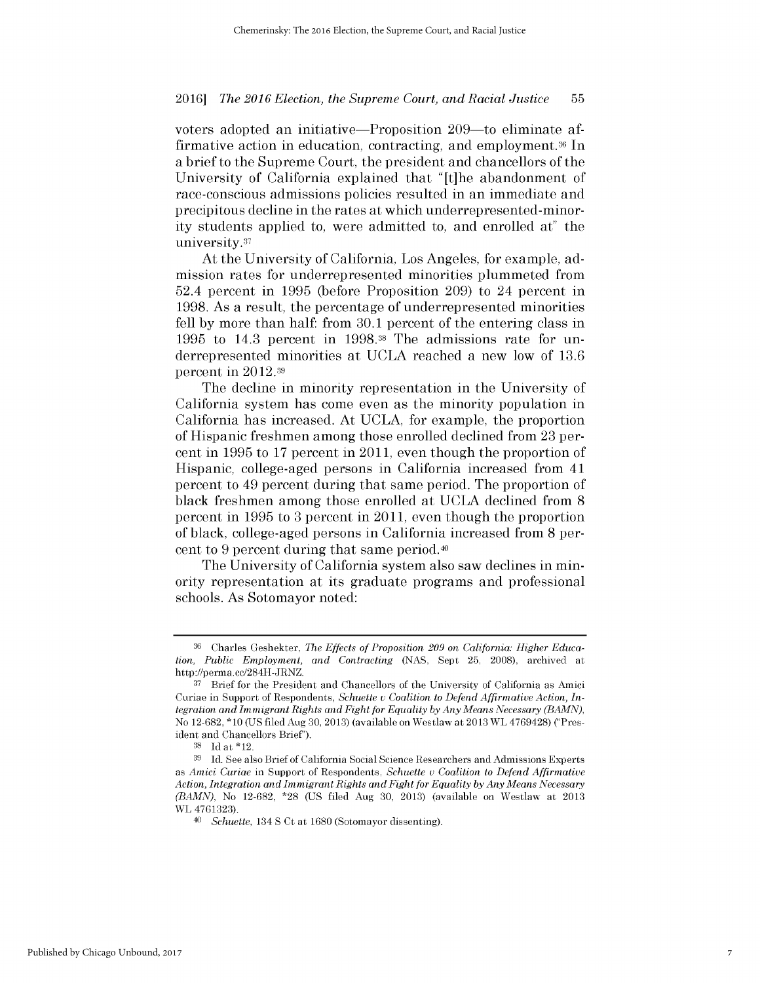voters adopted an initiative—Proposition 209—to eliminate affirmative action in education, contracting, and employment.36 In a brief to the Supreme Court, the president and chancellors of the University of California explained that "[t]he abandonment of race-conscious admissions policies resulted in an immediate and precipitous decline in the rates at which underrepresented-minority students applied to, were admitted to, and enrolled at" the university.37

At the University of California, Los Angeles, for example, admission rates for underrepresented minorities plummeted from 52.4 percent in **1995** (before Proposition **209)** to 24 percent in **1998.** As a result, the percentage of underrepresented minorities fell **by** more than half: from **30.1** percent of the entering class in **1995** to 14.3 percent in **1998.38** The admissions rate for underrepresented minorities at **UCLA** reached a new low of **13.6** percent in **2012.39**

The decline in minority representation in the University of California system has come even as the minority population in California has increased. At **UCLA,** for example, the proportion of Hispanic freshmen among those enrolled declined from **23** percent in **1995** to **17** percent in **2011,** even though the proportion of Hispanic, college-aged persons in California increased from 41 percent to 49 percent during that same period. The proportion of black freshmen among those enrolled at **UCLA** declined from **8** percent in **1995** to **3** percent in 2011, even though the proportion of black, college-aged persons in California increased from **8** percent to **9** percent during that same period.40

The University of California system also saw declines in minority representation at its graduate programs and professional schools. As Sotomayor noted:

**<sup>36</sup>** Charles Geshekter, *The Effects of Proposition 209 on California: Higher Education, Public Employment, and Contracting* **(NAS,** Sept **25, 2008),** archived at http://perma.cc/284H-JRNZ.

<sup>&</sup>lt;sup>37</sup> Brief for the President and Chancellors of the University of California as Amici Curiae in Support of Respondents, *Schuette v Coalition to Defend Affirmative Action, Integration and Immigrant Rights and Fight for Equality by Any Means Necessary (BAMN),* No **12-682, \*10 (US filed** Aug **30, 2013)** (available on Westlaw at **2013** WL 4769428) ("President and Chancellors Brief').

**<sup>38</sup>Id** at \*12.

**<sup>39</sup> Id. See** also Brief of California Social Science Researchers and Admissions Experts as *Amici Curiae* in Support of Respondents, *Schuette v Coalition to Defend Affirmative Action, Integration and Immigrant Rights and Fight for Equality by Any Means Necessary (BAMN),* No **12-682, \*28 (US filed** Aug **30, 2013)** (available on Westlaw at **2013** WL **4761323).**

<sup>40</sup>*Schuette,* 134 **S** Ct at **1680** (Sotomayor dissenting).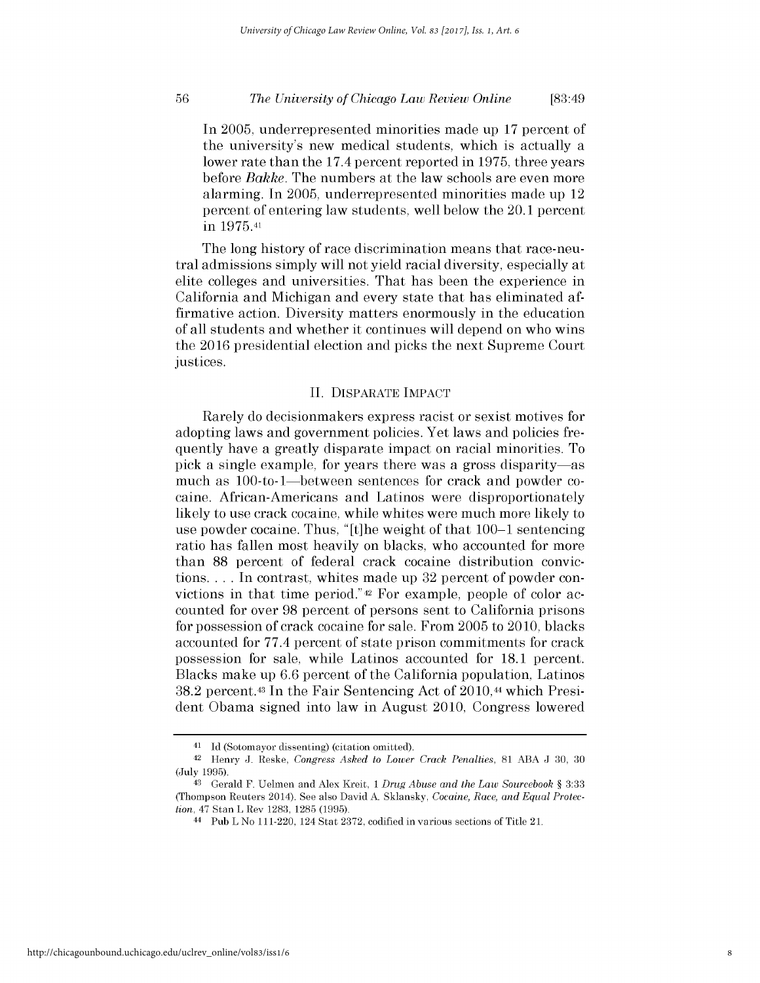## *The University of Chicago Law Review Online* **56 [83:49**

In **2005,** underrepresented minorities made up **17** percent of the university's new medical students, which is actually a lower rate than the 17.4 percent reported in **1975,** three years before *Bakke.* The numbers at the law schools are even more alarming. In **2005,** underrepresented minorities made up 12 percent of entering law students, well below the 20.1 percent in **1975.41**

The long history of race discrimination means that race-neutral admissions simply will not yield racial diversity, especially at elite colleges and universities. That has been the experience in California and Michigan and every state that has eliminated affirmative action. Diversity matters enormously in the education of all students and whether it continues will depend on who wins the **2016** presidential election and picks the next Supreme Court justices.

## **II.** DISPARATE IMPACT

Rarely do decisionmakers express racist or sexist motives for adopting laws and government policies. Yet laws and policies frequently have a greatly disparate impact on racial minorities. To pick a single example, for years there was a gross disparity-as much as 100-to-1—between sentences for crack and powder cocaine. African-Americans and Latinos were disproportionately likely to use crack cocaine, while whites were much more likely to use powder cocaine. Thus, "[t]he weight of that **100-1** sentencing ratio has fallen most heavily on blacks, who accounted for more than **88** percent of federal crack cocaine distribution convictions. . . **.** In contrast, whites made up **32** percent of powder convictions in that time period."42 For example, people of color accounted for over **98** percent of persons sent to California prisons for possession of crack cocaine for sale. From **2005** to **2010,** blacks accounted for **77.4** percent of state prison commitments for crack possession for sale, while Latinos accounted for **18.1** percent. Blacks make up **6.6** percent of the California population, Latinos **38.2** percent.<sup>43</sup>In the Fair Sentencing Act of 2010,44 Which President Obama signed into law in August 2010, Congress lowered

http://chicagounbound.uchicago.edu/uclrev\_online/vol83/iss1/6

**<sup>41</sup>Id** (Sotomayor dissenting) (citation omitted).

**<sup>42</sup>**Henry **J.** Reske, *Congress Asked to Lower Crack Penalties,* **81 ABA J 30, 30** (July **1995).**

**<sup>43</sup>**Gerald F. Uelmen and Alex Kreit, 1 *Drug Abuse and the Law Sourcebook §* **3:33** (Thompson Reuters 2014). **See** also David **A.** Sklansky, *Cocaine, Race, and Equal Protection,* 47 Stan L Rev **1283, 1285 (1995).**

<sup>44</sup>Pub L No 111-220, 124 Stat **2372,** codified in various sections of Title 21.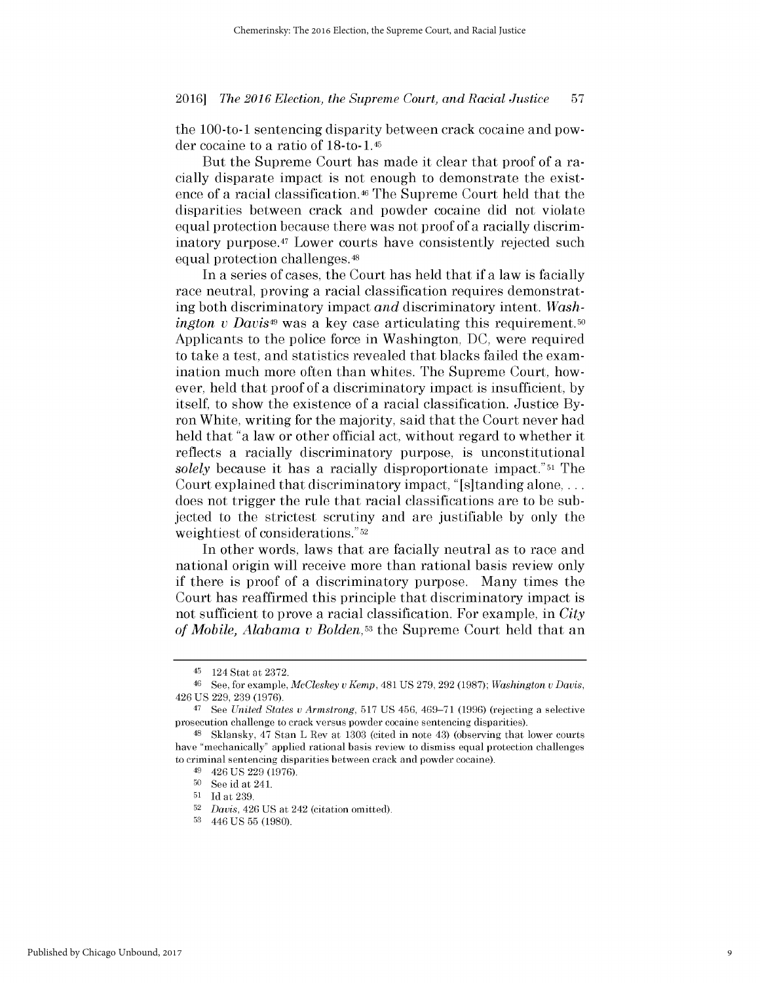the 100-to-1 sentencing disparity between crack cocaine and powder cocaine to a ratio of 18-to-1.45

But the Supreme Court has made it clear that proof of a racially disparate impact is not enough to demonstrate the existence of a racial classification.46 The Supreme Court held that the disparities between crack and powder cocaine **did** not violate equal protection because there was not proof of a racially discriminatory purpose. <sup>4</sup>7 Lower courts have consistently rejected such equal protection challenges.48

In a series of cases, the Court has held that **if** a law is facially race neutral, proving a racial classification requires demonstrating both discriminatory impact *and* discriminatory intent. *Washington v Davis*<sup>49</sup> was a key case articulating this requirement.<sup>50</sup> Applicants to the police force in Washington, **DC,** were required to take a test, and statistics revealed that blacks failed the examination much more often than whites. The Supreme Court, however, held that proof of a discriminatory impact is insufficient, **by** itself, to show the existence of a racial classification. Justice **By**ron White, writing for the majority, said that the Court never had held that "a law or other official act, without regard to whether it reflects a racially discriminatory purpose, is unconstitutional *solely* because it has a racially disproportionate **impact."51** The Court explained that discriminatory impact, **"** [s]tanding alone, **....** does not trigger the rule that racial classifications are to be subjected to the strictest scrutiny and are justifiable **by** only the weightiest of considerations."52

In other words, laws that are facially neutral as to race and national origin will receive more than rational basis review only if there is proof of a discriminatory purpose. Many times the Court has reaffirmed this principle that discriminatory impact **is** not sufficient to prove a racial classification. For example, in *City of Mobile, Alabama v Bolden,53* the Supreme Court held that an

<sup>45</sup>124 Stat at **2372.**

**<sup>46</sup>See,** for example, *McCleskey v Kemp,* 481 **US 279, 292 (1987);** *Washington v Davis,* 426 **US 229, 239 (1976).**

<sup>47</sup>See *United States v Armstrong,* **517 US** 456, 469-71 **(1996)** (rejecting a selective prosecution challenge to crack versus powder cocaine sentencing disparities).

**<sup>48</sup>**Sklansky, 47 Stan L Rev at **1303** (cited in note 43) (observing that lower courts have "mechanically" applied rational basis review to dismiss equal protection challenges to criminal sentencing disparities between crack and powder cocaine).

<sup>49</sup>426 **US 229 (1976).**

**<sup>5</sup>o See** id at 241.

**<sup>51</sup>Id** at **239.**

**<sup>52</sup>***Davis,* 426 **US** at 242 (citation omitted).

**<sup>53</sup>**446 **US 55 (1980).**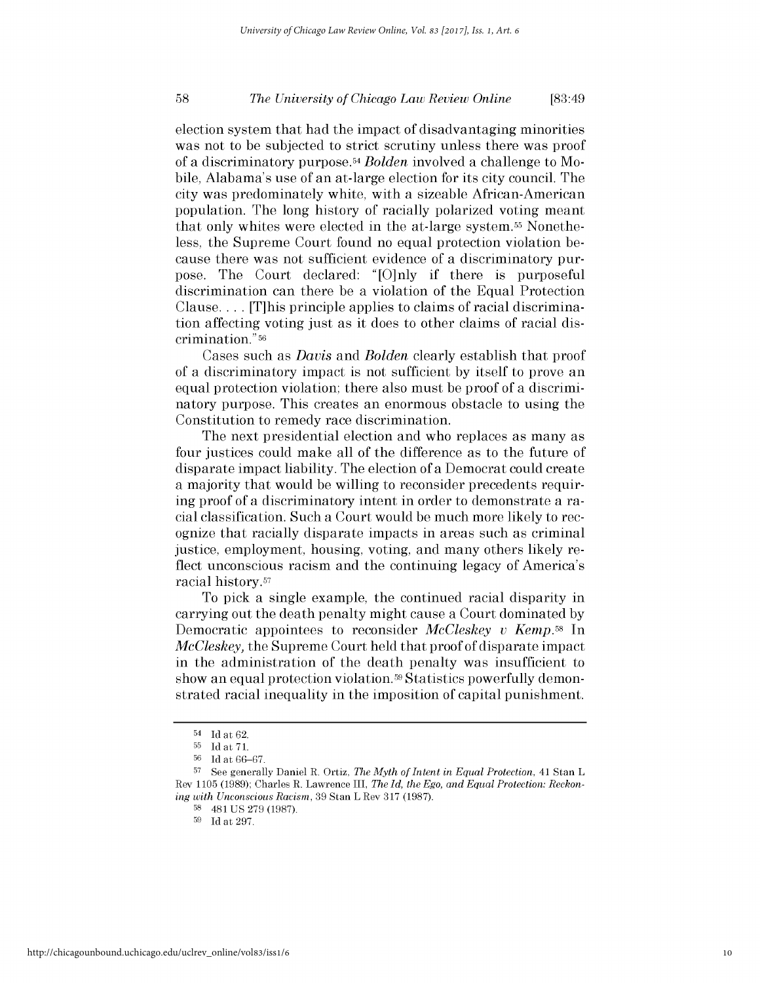## *The University of Chicago Law Review Online* **58 [83:49**

election system that had the impact of disadvantaging minorities was not to be subjected to strict scrutiny unless there was proof of a discriminatory purpose. <sup>54</sup>*Bolden* involved a challenge to Mobile, Alabama's use of an at-large election for its city council. The city was predominately white, with a sizeable African-American population. The long history of racially polarized voting meant that only whites were elected in the at-large system.<sup>55</sup> Nonetheless, the Supreme Court found no equal protection violation because there was not sufficient evidence of a discriminatory purpose. The Court declared: "[O]nly **if** there is purposeful discrimination can there be a violation of the Equal Protection Clause... **.** [T]his principle applies to claims of racial discrimination affecting voting just as it does to other claims of racial **dis**crimination. **"56**

Cases such as *Davis and Bolden* clearly establish that proof of a discriminatory impact is not sufficient **by** itself to prove an equal protection violation; there also must be proof of a discriminatory purpose. This creates an enormous obstacle to using the Constitution to remedy race discrimination.

The next presidential election and who replaces as many as four justices could make all of the difference as to the future of disparate impact liability. The election of a Democrat could create a majority that would be willing to reconsider precedents requiring proof of a discriminatory intent in order to demonstrate a racial classification. Such a Court would be much more likely to recognize that racially disparate impacts in areas such as criminal justice, employment, housing, voting, and many others likely reflect unconscious racism and the continuing legacy of America's racial history.57

To pick a single example, the continued racial disparity in carrying out the death penalty might cause a Court dominated **by** Democratic appointees to reconsider *McCleskey v Kemp.58* In *McCleskey,* the Supreme Court held that proof of disparate impact in the administration of the death penalty was insufficient to show an equal protection violation. 59Statistics powerfully demonstrated racial inequality in the imposition of capital punishment.

<sup>54</sup>**Id** at 62.

**<sup>55</sup>**Idat7l.

**<sup>56</sup>Id** at **66-67.**

**<sup>57</sup>**See generally Daniel R. Ortiz, *The Myth of Intent in Equal Protection,* 41 Stan L Rev **1105 (1989);** Charles R. Lawrence III, *The Id, the Ego, and Equal Protection: Reckoning with Unconscious Racism,* **39** Stan L Rev **317 (1987).**

**<sup>58</sup>**481 **US 279 (1987).**

**<sup>59</sup> Id** at **297.**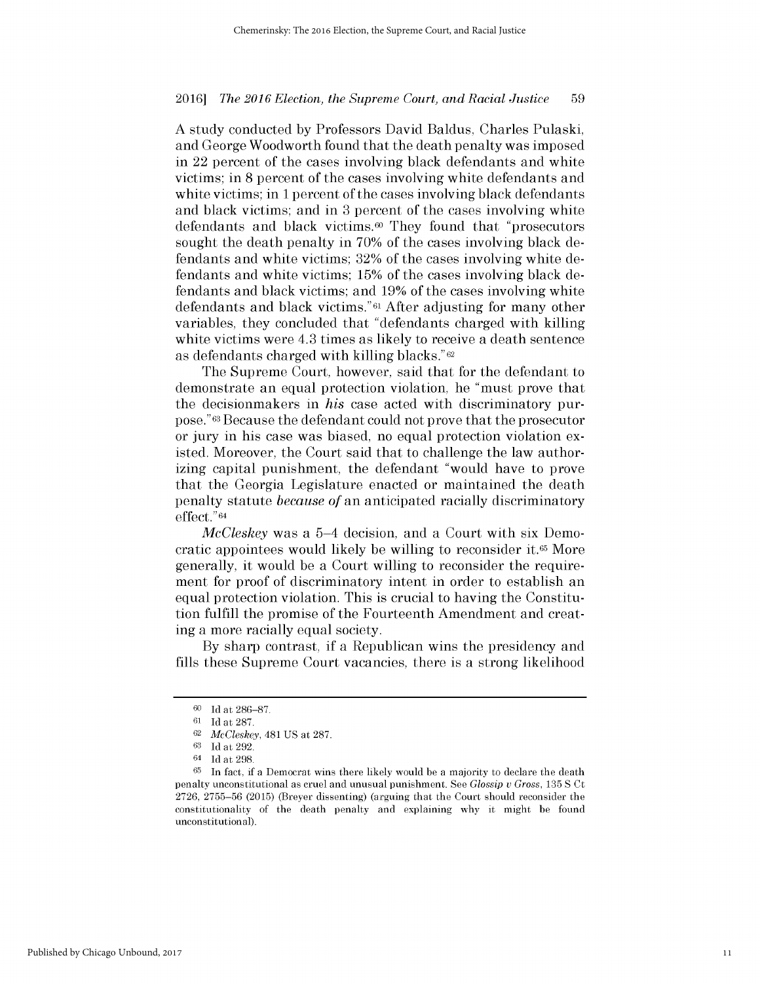**A** study conducted **by** Professors David Baldus, Charles Pulaski, and George Woodworth found that the death penalty was imposed in 22 percent of the cases involving black defendants and white victims; in **8** percent of the cases involving white defendants and white victims; in 1 percent of the cases involving black defendants and black victims; and in **3** percent of the cases involving white defendants and black victims.<sup>60</sup> They found that "prosecutors" sought the death penalty in **70%** of the cases involving black defendants and white victims; **32%** of the cases involving white defendants and white victims; **15%** of the cases involving black defendants and black victims; and **19%** of the cases involving white defendants and black victims."61 After adjusting for many other variables, they concluded that "defendants charged with killing white victims were 4.3 times as likely to receive a death sentence as defendants charged with killing blacks." <sup>62</sup>

The Supreme Court, however, said that for the defendant to demonstrate an equal protection violation, he "must prove that the decisionmakers in *his* case acted with discriminatory purpose."63 Because the defendant could not prove that the prosecutor or jury in his case was biased, no equal protection violation existed. Moreover, the Court said that to challenge the law authorizing capital punishment, the defendant "would have to prove that the Georgia Legislature enacted or maintained the death penalty statute *because of* an anticipated racially discriminatory effect."64

*McCleskey* was a 5-4 decision, and a Court with six Democratic appointees would likely be willing to reconsider it.<sup>65</sup> More generally, it would be a Court willing to reconsider the requirement for proof of discriminatory intent in order to establish an equal protection violation. This is crucial to having the Constitution fulfill the promise of the Fourteenth Amendment and creating a more racially equal society.

**By** sharp contrast, **if** a Republican wins the presidency and fills these Supreme Court vacancies, there is a strong likelihood

**<sup>60</sup>Id** at **286-87.**

**<sup>61</sup>Id** at **287.**

**<sup>62</sup>***McCleskey,* 481 **US** at **287.**

**<sup>63</sup>Id** at **292.**

<sup>64</sup>**Id** at **298.**

**<sup>65</sup>**In fact, if a Democrat wins there **likely** would **be** a majority to declare the death penalty unconstitutional as cruel and unusual punishment. **See** *Glossip V Gross,* **135 S** Ct 2726, 2755-56 **(2015)** (Breyer dissenting) (arguing that the Court should reconsider the constitutionality of the death penalty and explaining why it might **be** found unconstitutional).